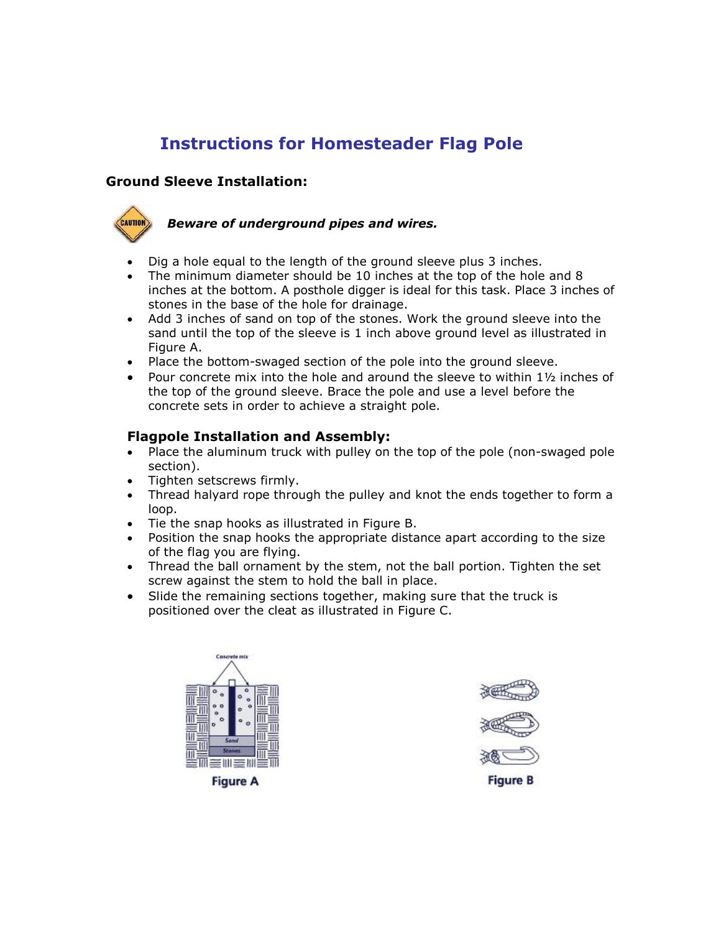## **Instructions for Homesteader Flag Pole**

## **Ground Sleeve Installation:**



## *Beware of underground pipes and wires.*

- · Dig a hole equal to the length of the ground sleeve plus 3 inches.
- · The minimum diameter should be 10 inches at the top of the hole and 8 inches at the bottom. A posthole digger is ideal for this task. Place 3 inches of stones in the base of the hole for drainage.
- · Add 3 inches of sand on top of the stones. Work the ground sleeve into the sand until the top of the sleeve is 1 inch above ground level as illustrated in Figure A.
- Place the bottom-swaged section of the pole into the ground sleeve.
- Pour concrete mix into the hole and around the sleeve to within  $1\frac{1}{2}$  inches of the top of the ground sleeve. Brace the pole and use a level before the concrete sets in order to achieve a straight pole.

## **Flagpole Installation and Assembly:**

- Place the aluminum truck with pulley on the top of the pole (non-swaged pole) section).
- · Tighten setscrews firmly.
- · Thread halyard rope through the pulley and knot the ends together to form a loop.
- · Tie the snap hooks as illustrated in Figure B.
- · Position the snap hooks the appropriate distance apart according to the size of the flag you are flying.
- · Thread the ball ornament by the stem, not the ball portion. Tighten the set screw against the stem to hold the ball in place.
- · Slide the remaining sections together, making sure that the truck is positioned over the cleat as illustrated in Figure C.



**Figure A** 



**Figure B**